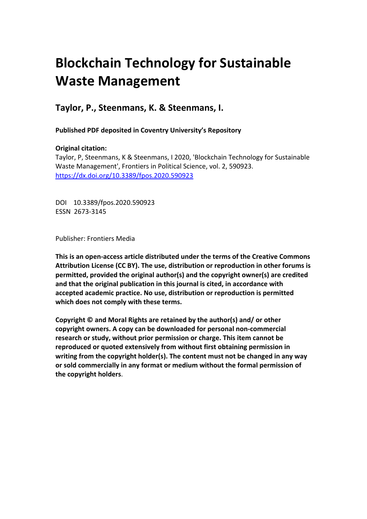# **Blockchain Technology for Sustainable Waste Management**

# **Taylor, P., Steenmans, K. & Steenmans, I.**

**Published PDF deposited in Coventry University's Repository** 

## **Original citation:**

Taylor, P, Steenmans, K & Steenmans, I 2020, 'Blockchain Technology for Sustainable Waste Management', Frontiers in Political Science, vol. 2, 590923. https://dx.doi.org/10.3389/fpos.2020.590923

DOI 10.3389/fpos.2020.590923 ESSN 2673-3145

Publisher: Frontiers Media

**This is an open-access article distributed under the terms of the Creative Commons Attribution License (CC BY). The use, distribution or reproduction in other forums is permitted, provided the original author(s) and the copyright owner(s) are credited and that the original publication in this journal is cited, in accordance with accepted academic practice. No use, distribution or reproduction is permitted which does not comply with these terms.**

**Copyright © and Moral Rights are retained by the author(s) and/ or other copyright owners. A copy can be downloaded for personal non-commercial research or study, without prior permission or charge. This item cannot be reproduced or quoted extensively from without first obtaining permission in writing from the copyright holder(s). The content must not be changed in any way or sold commercially in any format or medium without the formal permission of the copyright holders**.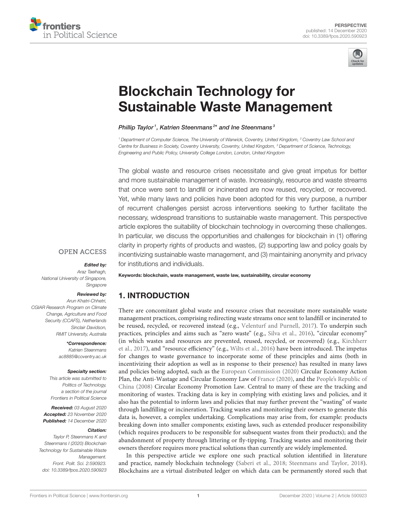



# Blockchain Technology for [Sustainable Waste Management](https://www.frontiersin.org/articles/10.3389/fpos.2020.590923/full)

Phillip Taylor<sup>1</sup>, Katrien Steenmans<sup>2\*</sup> and Ine Steenmans<sup>3</sup>

*<sup>1</sup> Department of Computer Science, The University of Warwick, Coventry, United Kingdom, <sup>2</sup> Coventry Law School and Centre for Business in Society, Coventry University, Coventry, United Kingdom, <sup>3</sup> Department of Science, Technology, Engineering and Public Policy, University College London, London, United Kingdom*

The global waste and resource crises necessitate and give great impetus for better and more sustainable management of waste. Increasingly, resource and waste streams that once were sent to landfill or incinerated are now reused, recycled, or recovered. Yet, while many laws and policies have been adopted for this very purpose, a number of recurrent challenges persist across interventions seeking to further facilitate the necessary, widespread transitions to sustainable waste management. This perspective article explores the suitability of blockchain technology in overcoming these challenges. In particular, we discuss the opportunities and challenges for blockchain in (1) offering clarity in property rights of products and wastes, (2) supporting law and policy goals by incentivizing sustainable waste management, and (3) maintaining anonymity and privacy for institutions and individuals.

#### **OPEN ACCESS**

#### Edited by:

*Araz Taeihagh, National University of Singapore, Singapore*

#### Reviewed by:

*Arun Khatri-Chhetri, CGIAR Research Program on Climate Change, Agriculture and Food Security (CCAFS), Netherlands Sinclair Davidson, RMIT University, Australia*

> \*Correspondence: *Katrien Steenmans [ac8885@coventry.ac.uk](mailto:ac8885@coventry.ac.uk)*

#### Specialty section:

*This article was submitted to Politics of Technology, a section of the journal Frontiers in Political Science*

Received: *03 August 2020* Accepted: *23 November 2020* Published: *14 December 2020*

#### Citation:

*Taylor P, Steenmans K and Steenmans I (2020) Blockchain Technology for Sustainable Waste Management. Front. Polit. Sci. 2:590923. doi: [10.3389/fpos.2020.590923](https://doi.org/10.3389/fpos.2020.590923)* Keywords: blockchain, waste management, waste law, sustainability, circular economy

# 1. INTRODUCTION

There are concomitant global waste and resource crises that necessitate more sustainable waste management practices, comprising redirecting waste streams once sent to landfill or incinerated to be reused, recycled, or recovered instead (e.g., [Velenturf and Purnell, 2017\)](#page-5-0). To underpin such practices, principles and aims such as "zero waste" (e.g., [Silva et al., 2016\)](#page-5-1), "circular economy" (in which wastes and resources are prevented, reused, recycled, or recovered) (e.g., Kirchherr et al., [2017\)](#page-5-2), and "resource efficiency" (e.g., [Wilts et al., 2016\)](#page-5-3) have been introduced. The impetus for changes to waste governance to incorporate some of these principles and aims (both in incentivizing their adoption as well as in response to their presence) has resulted in many laws and policies being adopted, such as the [European Commission \(2020\)](#page-4-0) Circular Economy Action Plan, the Anti-Wastage and Circular Economy Law of [France \(2020\)](#page-5-4), and the People's Republic of China [\(2008\)](#page-5-5) Circular Economy Promotion Law. Central to many of these are the tracking and monitoring of wastes. Tracking data is key in complying with existing laws and policies, and it also has the potential to inform laws and policies that may further prevent the "wasting" of waste through landfilling or incineration. Tracking wastes and monitoring their owners to generate this data is, however, a complex undertaking. Complications may arise from, for example: products breaking down into smaller components; existing laws, such as extended producer responsibility (which requires producers to be responsible for subsequent wastes from their products); and the abandonment of property through littering or fly-tipping. Tracking wastes and monitoring their owners therefore requires more practical solutions than currently are widely implemented.

In this perspective article we explore one such practical solution identified in literature and practice, namely blockchain technology [\(Saberi et al., 2018;](#page-5-6) [Steenmans and Taylor, 2018\)](#page-5-7). Blockchains are a virtual distributed ledger on which data can be permanently stored such that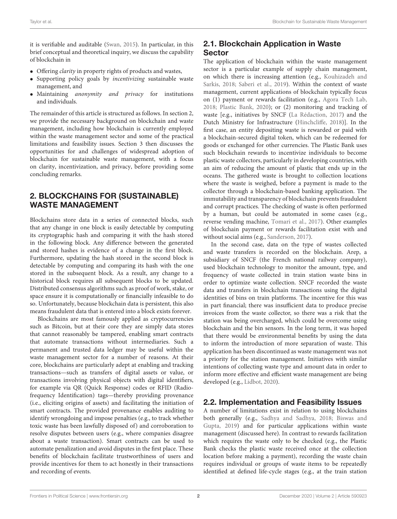it is verifiable and auditable [\(Swan, 2015\)](#page-5-8). In particular, in this brief conceptual and theoretical inquiry, we discuss the capability of blockchain in

- Offering clarity in property rights of products and wastes,
- Supporting policy goals by incentivizing sustainable waste management, and
- Maintaining anonymity and privacy for institutions and individuals.

The remainder of this article is structured as follows. In section [2,](#page-2-0) we provide the necessary background on blockchain and waste management, including how blockchain is currently employed within the waste management sector and some of the practical limitations and feasibility issues. Section [3](#page-3-0) then discusses the opportunities for and challenges of widespread adoption of blockchain for sustainable waste management, with a focus on clarity, incentivization, and privacy, before providing some concluding remarks.

# <span id="page-2-0"></span>2. BLOCKCHAINS FOR (SUSTAINABLE) WASTE MANAGEMENT

Blockchains store data in a series of connected blocks, such that any change in one block is easily detectable by computing its cryptographic hash and comparing it with the hash stored in the following block. Any difference between the generated and stored hashes is evidence of a change in the first block. Furthermore, updating the hash stored in the second block is detectable by computing and comparing its hash with the one stored in the subsequent block. As a result, any change to a historical block requires all subsequent blocks to be updated. Distributed consensus algorithms such as proof of work, stake, or space ensure it is computationally or financially infeasible to do so. Unfortunately, because blockchain data is persistent, this also means fraudulent data that is entered into a block exists forever.

Blockchains are most famously applied as cryptocurrencies such as Bitcoin, but at their core they are simply data stores that cannot reasonably be tampered, enabling smart contracts that automate transactions without intermediaries. Such a permanent and trusted data ledger may be useful within the waste management sector for a number of reasons. At their core, blockchains are particularly adept at enabling and tracking transactions—such as transfers of digital assets or value, or transactions involving physical objects with digital identifiers, for example via QR (Quick Response) codes or RFID (Radiofrequency Identification) tags—thereby providing provenance (i.e., eliciting origins of assets) and facilitating the initiation of smart contracts. The provided provenance enables auditing to identify wrongdoing and impose penalties (e.g., to track whether toxic waste has been lawfully disposed of) and corroboration to resolve disputes between users (e.g., where companies disagree about a waste transaction). Smart contracts can be used to automate penalization and avoid disputes in the first place. These benefits of blockchain facilitate trustworthiness of users and provide incentives for them to act honestly in their transactions and recording of events.

# 2.1. Blockchain Application in Waste Sector

The application of blockchain within the waste management sector is a particular example of supply chain management, on which there is increasing attention (e.g., Kouhizadeh and Sarkis, [2018;](#page-5-9) [Saberi et al., 2019\)](#page-5-10). Within the context of waste management, current applications of blockchain typically focus on (1) payment or rewards facilitation (e.g., [Agora Tech Lab,](#page-4-1) [2018;](#page-4-1) [Plastic Bank, 2020\)](#page-5-11); or (2) monitoring and tracking of waste [e.g., initiatives by SNCF [\(La Rédaction, 2017\)](#page-5-12) and the Dutch Ministry for Infrastructure [\(Hinchcliffe, 2018\)](#page-5-13)]. In the first case, an entity depositing waste is rewarded or paid with a blockchain-secured digital token, which can be redeemed for goods or exchanged for other currencies. The Plastic Bank uses such blockchain rewards to incentivize individuals to become plastic waste collectors, particularly in developing countries, with an aim of reducing the amount of plastic that ends up in the oceans. The gathered waste is brought to collection locations where the waste is weighed, before a payment is made to the collector through a blockchain-based banking application. The immutability and transparency of blockchain prevents fraudulent and corrupt practices. The checking of waste is often performed by a human, but could be automated in some cases (e.g., reverse vending machine, [Tomari et al., 2017\)](#page-5-14). Other examples of blockchain payment or rewards facilitation exist with and without social aims (e.g., [Sanderson, 2017\)](#page-5-15).

In the second case, data on the type of wastes collected and waste transfers is recorded on the blockchain. Arep, a subsidiary of SNCF (the French national railway company), used blockchain technology to monitor the amount, type, and frequency of waste collected in train station waste bins in order to optimize waste collection. SNCF recorded the waste data and transfers in blockchain transactions using the digital identities of bins on train platforms. The incentive for this was in part financial; there was insufficient data to produce precise invoices from the waste collector, so there was a risk that the station was being overcharged, which could be overcome using blockchain and the bin sensors. In the long term, it was hoped that there would be environmental benefits by using the data to inform the introduction of more separation of waste. This application has been discontinued as waste management was not a priority for the station management. Initiatives with similar intentions of collecting waste type and amount data in order to inform more effective and efficient waste management are being developed (e.g., [Lidbot, 2020\)](#page-5-16).

# 2.2. Implementation and Feasibility Issues

A number of limitations exist in relation to using blockchains both generally (e.g., [Sadhya and Sadhya, 2018;](#page-5-17) Biswas and Gupta, [2019\)](#page-4-2) and for particular applications within waste management (discussed here). In contrast to rewards facilitation which requires the waste only to be checked (e.g., the Plastic Bank checks the plastic waste received once at the collection location before making a payment), recording the waste chain requires individual or groups of waste items to be repeatedly identified at defined life-cycle stages (e.g., at the train station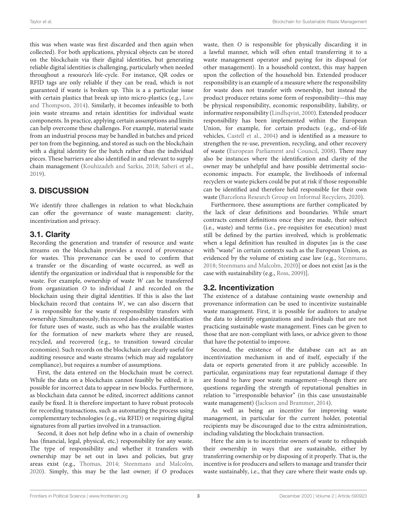this was when waste was first discarded and then again when collected). For both applications, physical objects can be stored on the blockchain via their digital identities, but generating reliable digital identities is challenging, particularly when needed throughout a resource's life-cycle. For instance, QR codes or RFID tags are only reliable if they can be read, which is not guaranteed if waste is broken up. This is a a particular issue with certain plastics that break up into micro-plastics (e.g., Law and Thompson, [2014\)](#page-5-18). Similarly, it becomes infeasible to both join waste streams and retain identities for individual waste components. In practice, applying certain assumptions and limits can help overcome these challenges. For example, material waste from an industrial process may be handled in batches and priced per ton from the beginning, and stored as such on the blockchain with a digital identity for the batch rather than the individual pieces. These barriers are also identified in and relevant to supply chain management [\(Kouhizadeh and Sarkis, 2018;](#page-5-9) [Saberi et al.,](#page-5-10) [2019\)](#page-5-10).

# <span id="page-3-0"></span>3. DISCUSSION

We identify three challenges in relation to what blockchain can offer the governance of waste management: clarity, incentivization and privacy.

## 3.1. Clarity

Recording the generation and transfer of resource and waste streams on the blockchain provides a record of provenance for wastes. This provenance can be used to confirm that a transfer or the discarding of waste occurred, as well as identify the organization or individual that is responsible for the waste. For example, ownership of waste W can be transferred from organization O to individual I and recorded on the blockchain using their digital identities. If this is also the last blockchain record that contains W, we can also discern that I is responsible for the waste if responsibility transfers with ownership. Simultaneously, this record also enables identification for future uses of waste, such as who has the available wastes for the formation of new markets where they are reused, recycled, and recovered (e.g., to transition toward circular economies). Such records on the blockchain are clearly useful for auditing resource and waste streams (which may aid regulatory compliance), but requires a number of assumptions.

First, the data entered on the blockchain must be correct. While the data on a blockchain cannot feasibly be edited, it is possible for incorrect data to appear in new blocks. Furthermore, as blockchain data cannot be edited, incorrect additions cannot easily be fixed. It is therefore important to have robust protocols for recording transactions, such as automating the process using complementary technologies (e.g., via RFID) or requiring digital signatures from all parties involved in a transaction.

Second, it does not help define who in a chain of ownership has (financial, legal, physical, etc.) responsibility for any waste. The type of responsibility and whether it transfers with ownership may be set out in laws and policies, but gray areas exist (e.g., [Thomas, 2014;](#page-5-19) [Steenmans and Malcolm,](#page-5-20) [2020\)](#page-5-20). Simply, this may be the last owner; if O produces waste, then O is responsible for physically discarding it in a lawful manner, which will often entail transferring it to a waste management operator and paying for its disposal (or other management). In a household context, this may happen upon the collection of the household bin. Extended producer responsibility is an example of a measure where the responsibility for waste does not transfer with ownership, but instead the product producer retains some form of responsibility—this may be physical responsibility, economic responsibility, liability, or informative responsibility [\(Lindhqvist, 2000\)](#page-5-21). Extended producer responsibility has been implemented within the European Union, for example, for certain products (e.g., end-of-life vehicles, [Castell et al., 2004\)](#page-4-3) and is identified as a measure to strengthen the re-use, prevention, recycling, and other recovery of waste [\(European Parliament and Council, 2008\)](#page-4-4). There may also be instances where the identification and clarity of the owner may be unhelpful and have possible detrimental socioeconomic impacts. For example, the livelihoods of informal recyclers or waste pickers could be put at risk if those responsible can be identified and therefore held responsible for their own waste [\(Barcelona Research Group on Informal Recyclers, 2020\)](#page-4-5).

Furthermore, these assumptions are further complicated by the lack of clear definitions and boundaries. While smart contracts cement definitions once they are made, their subject (i.e., waste) and terms (i.e., pre-requisites for execution) must still be defined by the parties involved, which is problematic when a legal definition has resulted in disputes [as is the case with "waste" in certain contexts such as the European Union, as evidenced by the volume of existing case law (e.g., [Steenmans,](#page-5-22) [2018;](#page-5-22) [Steenmans and Malcolm, 2020\)](#page-5-20)] or does not exist [as is the case with sustainability (e.g., [Ross, 2009\)](#page-5-23)].

## 3.2. Incentivization

The existence of a database containing waste ownership and provenance information can be used to incentivize sustainable waste management. First, it is possible for auditors to analyse the data to identify organizations and individuals that are not practicing sustainable waste management. Fines can be given to those that are non-compliant with laws, or advice given to those that have the potential to improve.

Second, the existence of the database can act as an incentivization mechanism in and of itself, especially if the data or reports generated from it are publicly accessible. In particular, organizations may fear reputational damage if they are found to have poor waste management—though there are questions regarding the strength of reputational penalties in relation to "irresponsible behavior" (in this case unsustainable waste management) [\(Jackson and Brammer, 2014\)](#page-5-24).

As well as being an incentive for improving waste management, in particular for the current holder, potential recipients may be discouraged due to the extra administration, including validating the blockchain transaction.

Here the aim is to incentivize owners of waste to relinquish their ownership in ways that are sustainable, either by transferring ownership or by disposing of it properly. That is, the incentive is for producers and sellers to manage and transfer their waste sustainably, i.e., that they care where their waste ends up.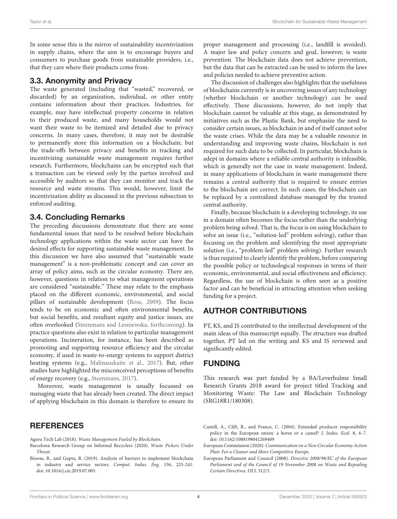In some sense this is the mirror of sustainability incentivization in supply chains, where the aim is to encourage buyers and consumers to purchase goods from sustainable providers, i.e., that they care where their products come from.

#### 3.3. Anonymity and Privacy

The waste generated (including that "wasted," recovered, or discarded) by an organization, individual, or other entity contains information about their practices. Industries, for example, may have intellectual property concerns in relation to their produced waste, and many households would not want their waste to be itemized and detailed due to privacy concerns. In many cases, therefore, it may not be desirable to permanently store this information on a blockchain; but the trade-offs between privacy and benefits in tracking and incentivizing sustainable waste management requires further research. Furthermore, blockchains can be encrypted such that a transaction can be viewed only by the parties involved and accessible by auditors so that they can monitor and track the resource and waste streams. This would, however, limit the incentivization ability as discussed in the previous subsection to enforced auditing.

#### 3.4. Concluding Remarks

The preceding discussions demonstrate that there are some fundamental issues that need to be resolved before blockchain technology applications within the waste sector can have the desired effects for supporting sustainable waste management. In this discussion we have also assumed that "sustainable waste management" is a non-problematic concept and can cover an array of policy aims, such as the circular economy. There are, however, questions in relation to what management operations are considered "sustainable." These may relate to the emphasis placed on the different economic, environmental, and social pillars of sustainable development [\(Ross, 2009\)](#page-5-23). The focus tends to be on economic and often environmental benefits, but social benefits, and resultant equity and justice issues, are often overlooked [\(Steenmans and Lesniewska, forthcoming\)](#page-5-25). In practice questions also exist in relation to particular management operations. Incineration, for instance, has been described as promoting and supporting resource efficiency and the circular economy, if used in waste-to-energy systems to support district heating systems (e.g., [Malinauskaite et al., 2017\)](#page-5-26). But, other studies have highlighted the misconceived perceptions of benefits of energy recovery (e.g., [Steenmans, 2017\)](#page-5-27).

Moreover, waste management is usually focussed on managing waste that has already been created. The direct impact of applying blockchain in this domain is therefore to ensure its

## **REFERENCES**

<span id="page-4-1"></span>Agora Tech Lab (2018). Waste Management Fueled by Blockchain.

proper management and processing (i.e., landfill is avoided). A major law and policy concern and goal, however, is waste prevention. The blockchain data does not achieve prevention, but the data that can be extracted can be used to inform the laws and policies needed to achieve preventive action.

The discussion of challenges also highlights that the usefulness of blockchains currently is in uncovering issues of any technology (whether blockchain or another technology) can be used effectively. These discussions, however, do not imply that blockchain cannot be valuable at this stage, as demonstrated by initiatives such as the Plastic Bank, but emphasize the need to consider certain issues, as blockchain in and of itself cannot solve the waste crises. While the data may be a valuable resource in understanding and improving waste chains, blockchain is not required for such data to be collected. In particular, blockchain is adept in domains where a reliable central authority is infeasible, which is generally not the case in waste management. Indeed, in many applications of blockchain in waste management there remains a central authority that is required to ensure entries to the blockchain are correct. In such cases, the blockchain can be replaced by a centralized database managed by the trusted central authority.

Finally, because blockchain is a developing technology, its use in a domain often becomes the focus rather than the underlying problem being solved. That is, the focus is on using blockchain to solve an issue (i.e., "solution-led" problem solving), rather than focusing on the problem and identifying the most appropriate solution (i.e., "problem-led" problem solving). Further research is thus required to clearly identify the problem, before comparing the possible policy or technological responses in terms of their economic, environmental, and social effectiveness and efficiency. Regardless, the use of blockchain is often seen as a positive factor and can be beneficial in attracting attention when seeking funding for a project.

## AUTHOR CONTRIBUTIONS

PT, KS, and IS contributed to the intellectual development of the main ideas of this manuscript equally. The structure was drafted together, PT led on the writing and KS and IS reviewed and significantly edited.

## FUNDING

This research was part funded by a BA/Leverhulme Small Research Grants 2018 award for project titled Tracking and Monitoring Waste: The Law and Blockchain Technology (SRG18R1/180308).

<span id="page-4-4"></span>European Parliament and Council (2008). Directive 2008/98/EC of the European Parliament and of the Council of 19 November 2008 on Waste and Repealing Certain Directives. OJ L 312/3.

<span id="page-4-5"></span>Barcelona Research Group on Informal Recyclers (2020). Waste Pickers Under Threat.

<span id="page-4-2"></span>Biswas, B., and Gupta, R. (2019). Analysis of barriers to implement blockchain in industry and service sectors. Comput. Indus. Eng. 136, 225-241. doi: [10.1016/j.cie.2019.07.005](https://doi.org/10.1016/j.cie.2019.07.005)

<span id="page-4-3"></span>Castell, A., Clift, R., and France, C. (2004). Extended producer responsibility policy in the European union: a horse or a camel? J. Indus. Ecol. 8, 4–7. doi: [10.1162/1088198041269409](https://doi.org/10.1162/1088198041269409)

<span id="page-4-0"></span>European Commission (2020). Communication on a New Circular Economy Action Plan: For a Cleaner and More Competitive Europe.